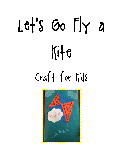## Let's Go Fly a Kite

## Craft for Kids

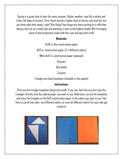Spring is a great time of year for many reasons. Better weather, new life in plants and trees, the hope of summer. Sure, there may be a higher level of storms and wind too, but you know what that means, right? Kite flying! Few things are more exciting to a child than taking a kite out on a windy day and watching it soar to the highest height! We're bringing some of that excitement inside with this cute and easy kite craft!

## **Materials:**

12x18 in. blue construction paper

9x12 in. construction paper (2-4 different colors)

White 9x12 in. construction paper (optional)

Scissors

Glue bottle

Crayons

Triangle and cloud templates (included in this packet)

## **Instructions:**

Print out the triangle templates (large and small). If you can, feel free to print/copy the triangles directly onto the colored paper you want to use. Otherwise, cut out the templates and trace the triangles on the 9x12 construction paper in the colors you want to use. Feel free to use all one color, two different colors, or even all different colors! Let your kids get creative!



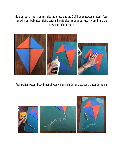Next, cut out all four triangles. Glue the pieces onto the 12x18 blue construction paper. Your kids will most likely need helping getting the triangles laid down correctly. Press firmly and allow to dry if necessary.



With a white crayon, draw the tail of your kite onto the bottom. Add some clouds at the top.

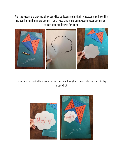With the rest of the crayons, allow your kids to decorate the kite in whatever way they'd like. Take out the cloud template and cut it out. Trace onto white construction paper and cut out if thicker paper is desired for gluing.



Have your kids write their name on the cloud and then glue it down onto the kite. Display proudly!

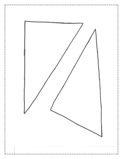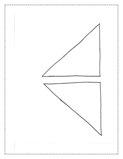